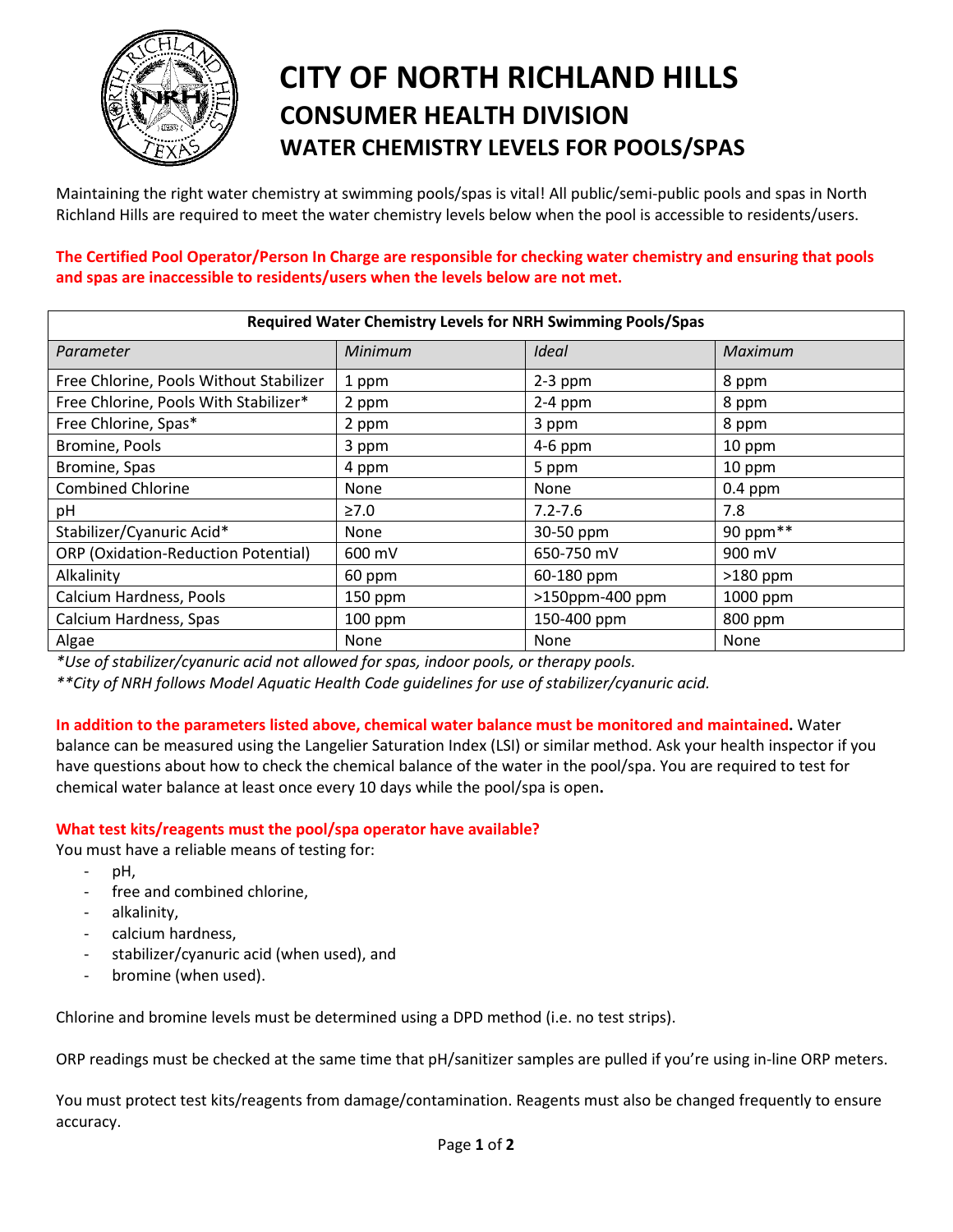

# **CITY OF NORTH RICHLAND HILLS CONSUMER HEALTH DIVISION WATER CHEMISTRY LEVELS FOR POOLS/SPAS**

Maintaining the right water chemistry at swimming pools/spas is vital! All public/semi-public pools and spas in North Richland Hills are required to meet the water chemistry levels below when the pool is accessible to residents/users.

**The Certified Pool Operator/Person In Charge are responsible for checking water chemistry and ensuring that pools and spas are inaccessible to residents/users when the levels below are not met.**

| Required Water Chemistry Levels for NRH Swimming Pools/Spas |                |                 |            |
|-------------------------------------------------------------|----------------|-----------------|------------|
| Parameter                                                   | <b>Minimum</b> | Ideal           | Maximum    |
| Free Chlorine, Pools Without Stabilizer                     | 1 ppm          | $2-3$ ppm       | 8 ppm      |
| Free Chlorine, Pools With Stabilizer*                       | 2 ppm          | $2-4$ ppm       | 8 ppm      |
| Free Chlorine, Spas*                                        | 2 ppm          | 3 ppm           | 8 ppm      |
| Bromine, Pools                                              | 3 ppm          | $4-6$ ppm       | 10 ppm     |
| Bromine, Spas                                               | 4 ppm          | 5 ppm           | 10 ppm     |
| <b>Combined Chlorine</b>                                    | None           | None            | $0.4$ ppm  |
| рH                                                          | $\geq 7.0$     | $7.2 - 7.6$     | 7.8        |
| Stabilizer/Cyanuric Acid*                                   | <b>None</b>    | 30-50 ppm       | 90 ppm**   |
| <b>ORP</b> (Oxidation-Reduction Potential)                  | 600 mV         | 650-750 mV      | 900 mV     |
| Alkalinity                                                  | 60 ppm         | 60-180 ppm      | $>180$ ppm |
| Calcium Hardness, Pools                                     | $150$ ppm      | >150ppm-400 ppm | 1000 ppm   |
| Calcium Hardness, Spas                                      | $100$ ppm      | 150-400 ppm     | 800 ppm    |
| Algae                                                       | None           | None            | None       |

*\*Use of stabilizer/cyanuric acid not allowed for spas, indoor pools, or therapy pools.*

*\*\*City of NRH follows Model Aquatic Health Code guidelines for use of stabilizer/cyanuric acid.*

**In addition to the parameters listed above, chemical water balance must be monitored and maintained.** Water balance can be measured using the Langelier Saturation Index (LSI) or similar method. Ask your health inspector if you have questions about how to check the chemical balance of the water in the pool/spa. You are required to test for

### **What test kits/reagents must the pool/spa operator have available?**

chemical water balance at least once every 10 days while the pool/spa is open**.**

You must have a reliable means of testing for:

- pH.
- free and combined chlorine,
- alkalinity,
- calcium hardness,
- stabilizer/cyanuric acid (when used), and
- bromine (when used).

Chlorine and bromine levels must be determined using a DPD method (i.e. no test strips).

ORP readings must be checked at the same time that pH/sanitizer samples are pulled if you're using in-line ORP meters.

You must protect test kits/reagents from damage/contamination. Reagents must also be changed frequently to ensure accuracy.